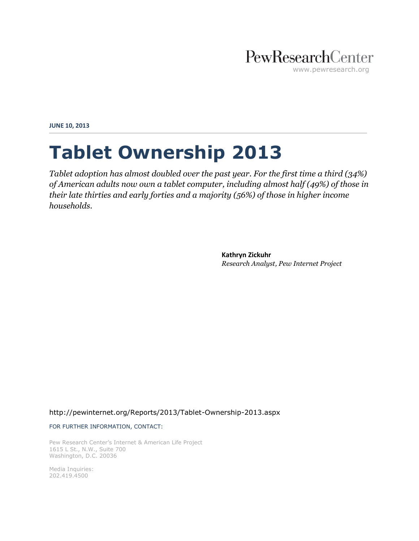### PewResearchCenter www.pewresearch.org

**JUNE 10, 2013**

# **Tablet Ownership 2013**

*Tablet adoption has almost doubled over the past year. For the first time a third (34%) of American adults now own a tablet computer, including almost half (49%) of those in their late thirties and early forties and a majority (56%) of those in higher income households.*

> **Kathryn Zickuhr** *Research Analyst, Pew Internet Project*

<http://pewinternet.org/Reports/2013/Tablet-Ownership-2013.aspx>

FOR FURTHER INFORMATION, CONTACT:

Pew Research Center's Internet & American Life Project 1615 L St., N.W., Suite 700 Washington, D.C. 20036

Media Inquiries: 202.419.4500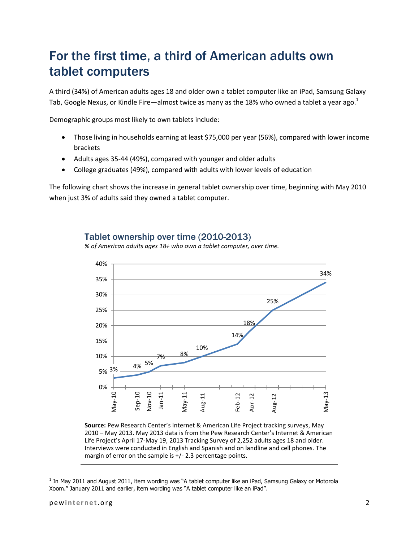### For the first time, a third of American adults own tablet computers

A third (34%) of American adults ages 18 and older own a tablet computer like an iPad, Samsung Galaxy Tab, Google Nexus, or Kindle Fire—almost twice as many as the 18% who owned a tablet a year ago.<sup>1</sup>

Demographic groups most likely to own tablets include:

- Those living in households earning at least \$75,000 per year (56%), compared with lower income brackets
- Adults ages 35-44 (49%), compared with younger and older adults
- College graduates (49%), compared with adults with lower levels of education

The following chart shows the increase in general tablet ownership over time, beginning with May 2010 when just 3% of adults said they owned a tablet computer.

#### Tablet ownership over time (2010-2013)

*% of American adults ages 18+ who own a tablet computer, over time.*



**Source:** Pew Research Center's Internet & American Life Project tracking surveys, May 2010 – May 2013. May 2013 data is from the Pew Research Center's Internet & American Life Project's April 17-May 19, 2013 Tracking Survey of 2,252 adults ages 18 and older. Interviews were conducted in English and Spanish and on landline and cell phones. The margin of error on the sample is +/- 2.3 percentage points.

 $\overline{\phantom{a}}$ 

 $^1$  In May 2011 and August 2011, item wording was "A tablet computer like an iPad, Samsung Galaxy or Motorola Xoom." January 2011 and earlier, item wording was "A tablet computer like an iPad".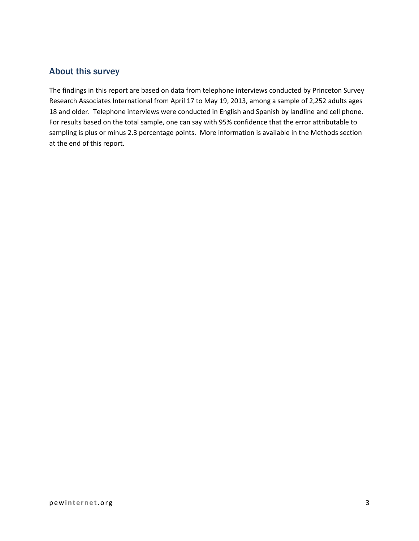#### About this survey

The findings in this report are based on data from telephone interviews conducted by Princeton Survey Research Associates International from April 17 to May 19, 2013, among a sample of 2,252 adults ages 18 and older. Telephone interviews were conducted in English and Spanish by landline and cell phone. For results based on the total sample, one can say with 95% confidence that the error attributable to sampling is plus or minus 2.3 percentage points. More information is available in the Methods section at the end of this report.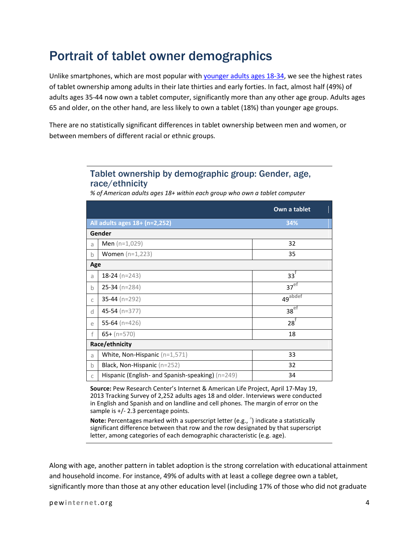### Portrait of tablet owner demographics

Unlike smartphones, which are most popular wit[h younger adults ages 18-34,](http://pewinternet.org/Reports/2013/Smartphone-Ownership-2013.aspx) we see the highest rates of tablet ownership among adults in their late thirties and early forties. In fact, almost half (49%) of adults ages 35-44 now own a tablet computer, significantly more than any other age group. Adults ages 65 and older, on the other hand, are less likely to own a tablet (18%) than younger age groups.

There are no statistically significant differences in tablet ownership between men and women, or between members of different racial or ethnic groups.

#### Tablet ownership by demographic group: Gender, age, race/ethnicity

*% of American adults ages 18+ within each group who own a tablet computer* 

|              |                                                  | Own a tablet            |  |  |  |
|--------------|--------------------------------------------------|-------------------------|--|--|--|
|              | All adults ages 18+ (n=2,252)<br>34%             |                         |  |  |  |
|              | Gender                                           |                         |  |  |  |
| a            | <b>Men</b> $(n=1,029)$                           | 32                      |  |  |  |
| b            | <b>Women</b> $(n=1,223)$                         | 35                      |  |  |  |
| Age          |                                                  |                         |  |  |  |
| a            | 18-24 ( $n=243$ )                                | $33^{\dagger}$          |  |  |  |
| b            | $25-34$ (n=284)                                  | 37 <sup>ef</sup>        |  |  |  |
| C            | 35-44 ( $n=292$ )                                | $49^{\overline{a}bdef}$ |  |  |  |
| d            | 45-54 ( $n=377$ )                                | $38^{ef}$               |  |  |  |
| e            | 55-64 ( $n=426$ )                                | $28^{\dagger}$          |  |  |  |
| $\mathsf{f}$ | $65+ (n=570)$                                    | 18                      |  |  |  |
|              | Race/ethnicity                                   |                         |  |  |  |
| a            | White, Non-Hispanic (n=1,571)                    | 33                      |  |  |  |
| b            | Black, Non-Hispanic $(n=252)$                    | 32                      |  |  |  |
| C            | Hispanic (English- and Spanish-speaking) (n=249) | 34                      |  |  |  |

**Source:** Pew Research Center's Internet & American Life Project, April 17-May 19, 2013 Tracking Survey of 2,252 adults ages 18 and older. Interviews were conducted in English and Spanish and on landline and cell phones. The margin of error on the sample is +/- 2.3 percentage points.

Note: Percentages marked with a superscript letter (e.g., <sup>a</sup>) indicate a statistically significant difference between that row and the row designated by that superscript letter, among categories of each demographic characteristic (e.g. age).

Along with age, another pattern in tablet adoption is the strong correlation with educational attainment and household income. For instance, 49% of adults with at least a college degree own a tablet, significantly more than those at any other education level (including 17% of those who did not graduate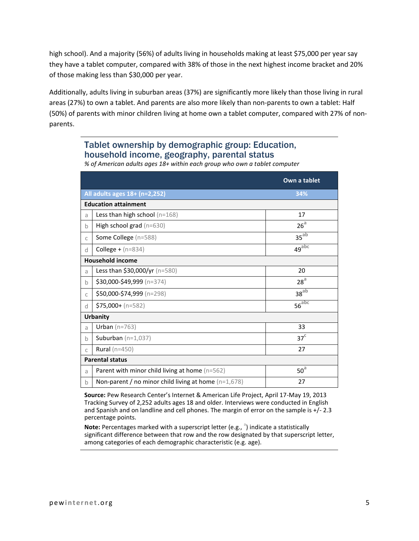high school). And a majority (56%) of adults living in households making at least \$75,000 per year say they have a tablet computer, compared with 38% of those in the next highest income bracket and 20% of those making less than \$30,000 per year.

Additionally, adults living in suburban areas (37%) are significantly more likely than those living in rural areas (27%) to own a tablet. And parents are also more likely than non-parents to own a tablet: Half (50%) of parents with minor children living at home own a tablet computer, compared with 27% of nonparents.

#### Tablet ownership by demographic group: Education, household income, geography, parental status

*% of American adults ages 18+ within each group who own a tablet computer*

|                        |                                                        | Own a tablet          |  |  |  |
|------------------------|--------------------------------------------------------|-----------------------|--|--|--|
|                        | 34%<br>All adults ages 18+ (n=2,252)                   |                       |  |  |  |
|                        | <b>Education attainment</b>                            |                       |  |  |  |
| a                      | Less than high school $(n=168)$                        | 17                    |  |  |  |
| $\mathbf b$            | High school grad $(n=630)$                             | 26 <sup>a</sup>       |  |  |  |
| $\mathsf{C}$           | Some College (n=588)                                   | $35^{ab}$             |  |  |  |
| d                      | <b>College +</b> ( $n = 834$ )                         | $49^{abc}$            |  |  |  |
|                        | <b>Household income</b>                                |                       |  |  |  |
| a                      | Less than $$30,000/yr$ (n=580)                         | 20                    |  |  |  |
| $\mathbf b$            | \$30,000-\$49,999 (n=374)                              | 28 <sup>a</sup>       |  |  |  |
| C                      | \$50,000-\$74,999 (n=298)                              | 38 <sup>ab</sup>      |  |  |  |
| d                      | $$75,000 + (n=582)$                                    | $56^{\overline{abc}}$ |  |  |  |
| <b>Urbanity</b>        |                                                        |                       |  |  |  |
| a                      | Urban ( $n=763$ )                                      | 33                    |  |  |  |
| $\mathbf b$            | Suburban $(n=1,037)$                                   | 37 <sup>c</sup>       |  |  |  |
| $\mathsf{C}$           | Rural ( $n=450$ )                                      | 27                    |  |  |  |
| <b>Parental status</b> |                                                        |                       |  |  |  |
| a                      | Parent with minor child living at home (n=562)         | 50 <sup>a</sup>       |  |  |  |
| $\mathsf b$            | Non-parent / no minor child living at home $(n=1,678)$ | 27                    |  |  |  |

**Source:** Pew Research Center's Internet & American Life Project, April 17-May 19, 2013 Tracking Survey of 2,252 adults ages 18 and older. Interviews were conducted in English and Spanish and on landline and cell phones. The margin of error on the sample is +/- 2.3 percentage points.

Note: Percentages marked with a superscript letter (e.g., <sup>a</sup>) indicate a statistically significant difference between that row and the row designated by that superscript letter, among categories of each demographic characteristic (e.g. age).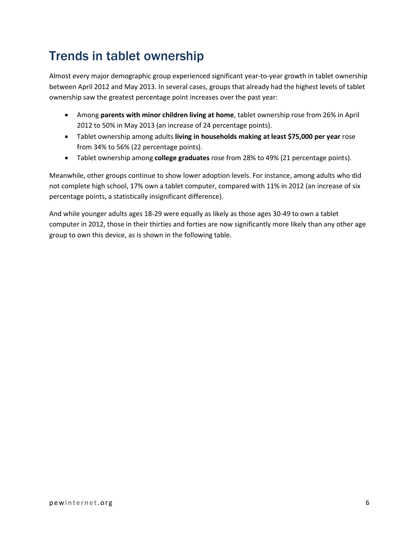## Trends in tablet ownership

Almost every major demographic group experienced significant year-to-year growth in tablet ownership between April 2012 and May 2013. In several cases, groups that already had the highest levels of tablet ownership saw the greatest percentage point increases over the past year:

- Among **parents with minor children living at home**, tablet ownership rose from 26% in April 2012 to 50% in May 2013 (an increase of 24 percentage points).
- Tablet ownership among adults **living in households making at least \$75,000 per year** rose from 34% to 56% (22 percentage points).
- Tablet ownership among **college graduates** rose from 28% to 49% (21 percentage points).

Meanwhile, other groups continue to show lower adoption levels. For instance, among adults who did not complete high school, 17% own a tablet computer, compared with 11% in 2012 (an increase of six percentage points, a statistically insignificant difference).

And while younger adults ages 18-29 were equally as likely as those ages 30-49 to own a tablet computer in 2012, those in their thirties and forties are now significantly more likely than any other age group to own this device, as is shown in the following table.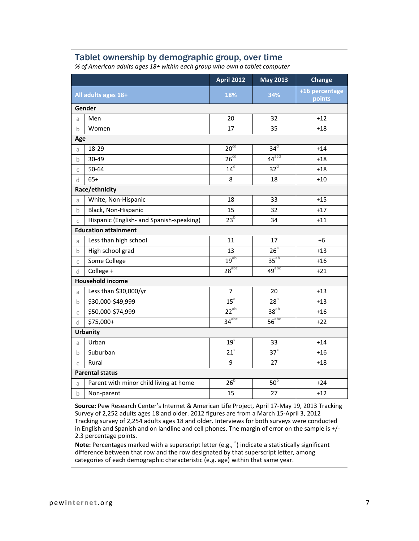#### Tablet ownership by demographic group, over time

|                         |                                          | <b>April 2012</b> | <b>May 2013</b>     | <b>Change</b>            |  |  |
|-------------------------|------------------------------------------|-------------------|---------------------|--------------------------|--|--|
| All adults ages 18+     |                                          | 18%               | 34%                 | +16 percentage<br>points |  |  |
|                         | Gender                                   |                   |                     |                          |  |  |
| a                       | Men                                      | 20                | 32                  | $+12$                    |  |  |
| $\mathsf{b}$            | Women                                    | 17                | 35                  | $+18$                    |  |  |
|                         | Age                                      |                   |                     |                          |  |  |
| a                       | 18-29                                    | 20 <sup>cd</sup>  | 34 <sup>d</sup>     | $+14$                    |  |  |
| $\mathsf b$             | 30-49                                    | 26 <sup>cd</sup>  | $44$ <sup>acd</sup> | $+18$                    |  |  |
| $\mathsf{C}$            | 50-64                                    | 14 <sup>d</sup>   | 32 <sup>d</sup>     | $+18$                    |  |  |
| d                       | $65+$                                    | 8                 | 18                  | $+10$                    |  |  |
|                         | Race/ethnicity                           |                   |                     |                          |  |  |
| a                       | White, Non-Hispanic                      | 18                | 33                  | $+15$                    |  |  |
| $\mathsf{b}$            | Black, Non-Hispanic                      | 15                | 32                  | $+17$                    |  |  |
| $\mathsf{C}$            | Hispanic (English- and Spanish-speaking) | 23 <sup>b</sup>   | 34                  | $+11$                    |  |  |
|                         | <b>Education attainment</b>              |                   |                     |                          |  |  |
| a                       | Less than high school                    | 11                | 17                  | $+6$                     |  |  |
| $\mathsf b$             | High school grad                         | 13                | 26 <sup>a</sup>     | $+13$                    |  |  |
| C                       | Some College                             | 19 <sup>ab</sup>  | $35^{ab}$           | $+16$                    |  |  |
| ď                       | College +                                | $28^{abc}$        | 49 <sup>abc</sup>   | $+21$                    |  |  |
| <b>Household income</b> |                                          |                   |                     |                          |  |  |
| a                       | Less than \$30,000/yr                    | $\overline{7}$    | 20                  | $+13$                    |  |  |
| $\mathsf{b}$            | \$30,000-\$49,999                        | 15 <sup>a</sup>   | 28 <sup>a</sup>     | $+13$                    |  |  |
| $\mathsf{C}$            | \$50,000-\$74,999                        | $22^{ab}$         | 38 <sup>ab</sup>    | $+16$                    |  |  |
| d                       | \$75,000+                                | $34^{\text{abc}}$ | 56 <sup>abc</sup>   | $+22$                    |  |  |
| <b>Urbanity</b>         |                                          |                   |                     |                          |  |  |
| a                       | Urban                                    | $19^{\circ}$      | 33                  | $+14$                    |  |  |
| b                       | Suburban                                 | $21^{\circ}$      | 37 <sup>c</sup>     | $+16$                    |  |  |
| $\mathsf{C}$            | Rural                                    | 9                 | 27                  | $+18$                    |  |  |
|                         | <b>Parental status</b>                   |                   |                     |                          |  |  |
| a                       | Parent with minor child living at home   | 26 <sup>b</sup>   | 50 <sup>b</sup>     | $+24$                    |  |  |
| $\mathsf b$             | Non-parent                               | 15                | 27                  | $+12$                    |  |  |

*% of American adults ages 18+ within each group who own a tablet computer* 

**Source:** Pew Research Center's Internet & American Life Project, April 17-May 19, 2013 Tracking Survey of 2,252 adults ages 18 and older. 2012 figures are from a March 15-April 3, 2012 Tracking survey of 2,254 adults ages 18 and older. Interviews for both surveys were conducted in English and Spanish and on landline and cell phones. The margin of error on the sample is +/- 2.3 percentage points.

Note: Percentages marked with a superscript letter (e.g., <sup>a</sup>) indicate a statistically significant difference between that row and the row designated by that superscript letter, among categories of each demographic characteristic (e.g. age) within that same year.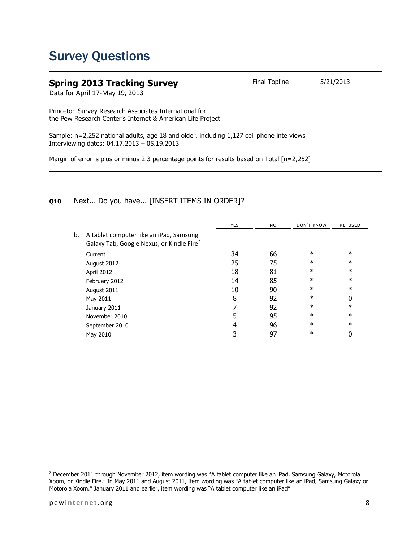### Survey Questions

#### **Spring 2013 Tracking Survey** Final Topline 5/21/2013

Data for April 17-May 19, 2013

Princeton Survey Research Associates International for the Pew Research Center's Internet & American Life Project

Sample: n=2,252 national adults, age 18 and older, including 1,127 cell phone interviews Interviewing dates: 04.17.2013 – 05.19.2013

Margin of error is plus or minus 2.3 percentage points for results based on Total [n=2,252]

#### **Q10** Next... Do you have... [INSERT ITEMS IN ORDER]?

|    |                                                                                                  | <b>YES</b> | NO. | <b>DON'T KNOW</b> | <b>REFUSED</b> |
|----|--------------------------------------------------------------------------------------------------|------------|-----|-------------------|----------------|
| b. | A tablet computer like an iPad, Samsung<br>Galaxy Tab, Google Nexus, or Kindle Fire <sup>2</sup> |            |     |                   |                |
|    | Current                                                                                          | 34         | 66  | $\ast$            | $\ast$         |
|    | August 2012                                                                                      | 25         | 75  | $\ast$            | $\ast$         |
|    | April 2012                                                                                       | 18         | 81  | $\ast$            | $\ast$         |
|    | February 2012                                                                                    | 14         | 85  | $\ast$            | $\ast$         |
|    | August 2011                                                                                      | 10         | 90  | $\ast$            | $\ast$         |
|    | May 2011                                                                                         | 8          | 92  | $\ast$            | 0              |
|    | January 2011                                                                                     |            | 92  | $\ast$            | $\ast$         |
|    | November 2010                                                                                    | 5          | 95  | $\ast$            | $\ast$         |
|    | September 2010                                                                                   | 4          | 96  | $\ast$            | $\ast$         |
|    | May 2010                                                                                         |            | 97  | $\ast$            | 0              |
|    |                                                                                                  |            |     |                   |                |

l

 $^2$  December 2011 through November 2012, item wording was "A tablet computer like an iPad, Samsung Galaxy, Motorola Xoom, or Kindle Fire." In May 2011 and August 2011, item wording was "A tablet computer like an iPad, Samsung Galaxy or Motorola Xoom." January 2011 and earlier, item wording was "A tablet computer like an iPad"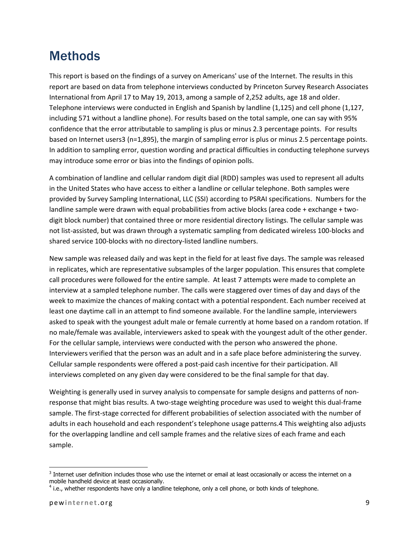### **Methods**

This report is based on the findings of a survey on Americans' use of the Internet. The results in this report are based on data from telephone interviews conducted by Princeton Survey Research Associates International from April 17 to May 19, 2013, among a sample of 2,252 adults, age 18 and older. Telephone interviews were conducted in English and Spanish by landline (1,125) and cell phone (1,127, including 571 without a landline phone). For results based on the total sample, one can say with 95% confidence that the error attributable to sampling is plus or minus 2.3 percentage points. For results based on Internet users3 (n=1,895), the margin of sampling error is plus or minus 2.5 percentage points. In addition to sampling error, question wording and practical difficulties in conducting telephone surveys may introduce some error or bias into the findings of opinion polls.

A combination of landline and cellular random digit dial (RDD) samples was used to represent all adults in the United States who have access to either a landline or cellular telephone. Both samples were provided by Survey Sampling International, LLC (SSI) according to PSRAI specifications. Numbers for the landline sample were drawn with equal probabilities from active blocks (area code + exchange + twodigit block number) that contained three or more residential directory listings. The cellular sample was not list-assisted, but was drawn through a systematic sampling from dedicated wireless 100-blocks and shared service 100-blocks with no directory-listed landline numbers.

New sample was released daily and was kept in the field for at least five days. The sample was released in replicates, which are representative subsamples of the larger population. This ensures that complete call procedures were followed for the entire sample. At least 7 attempts were made to complete an interview at a sampled telephone number. The calls were staggered over times of day and days of the week to maximize the chances of making contact with a potential respondent. Each number received at least one daytime call in an attempt to find someone available. For the landline sample, interviewers asked to speak with the youngest adult male or female currently at home based on a random rotation. If no male/female was available, interviewers asked to speak with the youngest adult of the other gender. For the cellular sample, interviews were conducted with the person who answered the phone. Interviewers verified that the person was an adult and in a safe place before administering the survey. Cellular sample respondents were offered a post-paid cash incentive for their participation. All interviews completed on any given day were considered to be the final sample for that day.

Weighting is generally used in survey analysis to compensate for sample designs and patterns of nonresponse that might bias results. A two-stage weighting procedure was used to weight this dual-frame sample. The first-stage corrected for different probabilities of selection associated with the number of adults in each household and each respondent's telephone usage patterns.4 This weighting also adjusts for the overlapping landline and cell sample frames and the relative sizes of each frame and each sample.

l

 $3$  Internet user definition includes those who use the internet or email at least occasionally or access the internet on a mobile handheld device at least occasionally.

<sup>&</sup>lt;sup>4</sup> i.e., whether respondents have only a landline telephone, only a cell phone, or both kinds of telephone.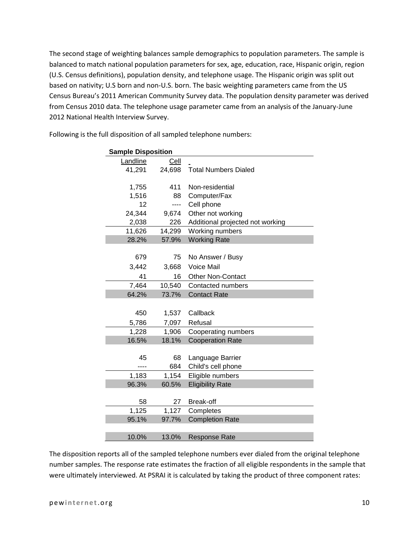The second stage of weighting balances sample demographics to population parameters. The sample is balanced to match national population parameters for sex, age, education, race, Hispanic origin, region (U.S. Census definitions), population density, and telephone usage. The Hispanic origin was split out based on nativity; U.S born and non-U.S. born. The basic weighting parameters came from the US Census Bureau's 2011 American Community Survey data. The population density parameter was derived from Census 2010 data. The telephone usage parameter came from an analysis of the January-June 2012 National Health Interview Survey.

| <b>Sample Disposition</b> |        |                                  |  |
|---------------------------|--------|----------------------------------|--|
| Landline                  | Cell   |                                  |  |
| 41,291                    | 24,698 | <b>Total Numbers Dialed</b>      |  |
|                           |        |                                  |  |
| 1,755                     | 411    | Non-residential                  |  |
| 1,516                     | 88     | Computer/Fax                     |  |
| 12                        | ----   | Cell phone                       |  |
| 24,344                    | 9,674  | Other not working                |  |
| 2,038                     | 226    | Additional projected not working |  |
| 11,626                    | 14,299 | Working numbers                  |  |
| 28.2%                     | 57.9%  | <b>Working Rate</b>              |  |
|                           |        |                                  |  |
| 679                       | 75     | No Answer / Busy                 |  |
| 3,442                     | 3,668  | <b>Voice Mail</b>                |  |
| 41                        | 16     | <b>Other Non-Contact</b>         |  |
| 7,464                     | 10,540 | Contacted numbers                |  |
| 64.2%                     | 73.7%  | <b>Contact Rate</b>              |  |
|                           |        |                                  |  |
| 450                       | 1,537  | Callback                         |  |
| 5,786                     | 7,097  | Refusal                          |  |
| 1,228                     | 1,906  | Cooperating numbers              |  |
| 16.5%                     | 18.1%  | <b>Cooperation Rate</b>          |  |
|                           |        |                                  |  |
| 45                        | 68     | Language Barrier                 |  |
|                           | 684    | Child's cell phone               |  |
| 1,183                     | 1,154  | Eligible numbers                 |  |
| 96.3%                     | 60.5%  | <b>Eligibility Rate</b>          |  |
|                           |        |                                  |  |
| 58                        | 27     | <b>Break-off</b>                 |  |
| 1,125                     | 1,127  | Completes                        |  |
| 95.1%                     | 97.7%  | <b>Completion Rate</b>           |  |
|                           |        |                                  |  |
| 10.0%                     | 13.0%  | <b>Response Rate</b>             |  |

Following is the full disposition of all sampled telephone numbers:

The disposition reports all of the sampled telephone numbers ever dialed from the original telephone number samples. The response rate estimates the fraction of all eligible respondents in the sample that were ultimately interviewed. At PSRAI it is calculated by taking the product of three component rates: